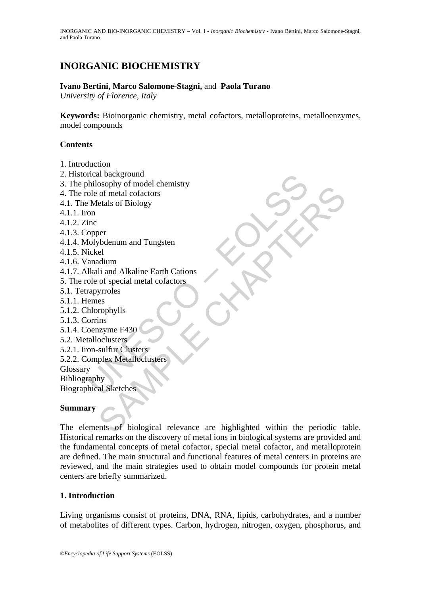# **INORGANIC BIOCHEMISTRY**

# **Ivano Bertini, Marco Salomone-Stagni,** and **Paola Turano**

*University of Florence, Italy* 

**Keywords:** Bioinorganic chemistry, metal cofactors, metalloproteins, metalloenzymes, model compounds

# **Contents**

- 1. Introduction
- 2. Historical background
- 3. The philosophy of model chemistry
- 4. The role of metal cofactors
- 4.1. The Metals of Biology
- 4.1.1. Iron
- 4.1.2. Zinc
- 4.1.3. Copper
- 4.1.4. Molybdenum and Tungsten
- 4.1.5. Nickel
- 4.1.6. Vanadium
- rical background<br>cole of metal cofactors<br>cole of metal cofactors<br>experimentals of Biology<br>on<br>inc<br>opper<br>inclusted<br>(ickel<br>anadium<br>likali and Alkaline Earth Cations<br>inclusted<br>frames<br>clenes<br>horophylls<br>bornins<br>conzyme F430<br>call 4.1.7. Alkali and Alkaline Earth Cations
- 5. The role of special metal cofactors
- 5.1. Tetrapyrroles
- 5.1.1. Hemes
- 5.1.2. Chlorophylls
- 5.1.3. Corrins
- 5.1.4. Coenzyme F430
- 5.2. Metalloclusters
- 5.2.1. Iron-sulfur Clusters
- 5.2.2. Complex Metalloclusters

Glossary Bibliography

Biographical Sketches

### **Summary**

Socypty<br>
of metal cofactors<br>
etals of Biology<br>
(bdenum and Tungsten<br>
dium<br>
dium<br>
il and Alkaline Earth Cations<br>
of special metal cofactors<br>
sers<br>
ers<br>
colusters<br>
plex Metalloclusters<br>
plex Metalloclusters<br>
plex Metalloclus The elements of biological relevance are highlighted within the periodic table. Historical remarks on the discovery of metal ions in biological systems are provided and the fundamental concepts of metal cofactor, special metal cofactor, and metalloprotein are defined. The main structural and functional features of metal centers in proteins are reviewed, and the main strategies used to obtain model compounds for protein metal centers are briefly summarized.

### **1. Introduction**

Living organisms consist of proteins, DNA, RNA, lipids, carbohydrates, and a number of metabolites of different types. Carbon, hydrogen, nitrogen, oxygen, phosphorus, and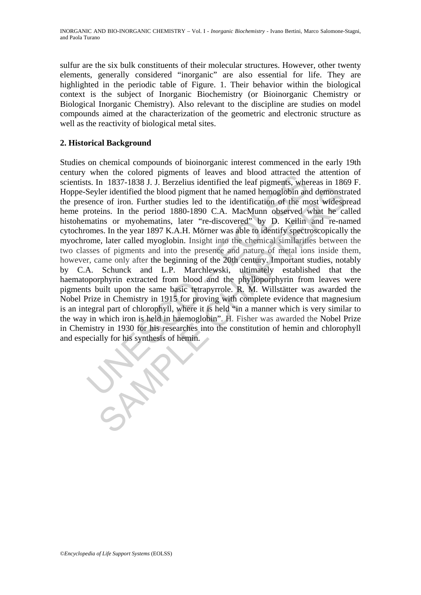sulfur are the six bulk constituents of their molecular structures. However, other twenty elements, generally considered "inorganic" are also essential for life. They are highlighted in the periodic table of Figure. 1. Their behavior within the biological context is the subject of Inorganic Biochemistry (or Bioinorganic Chemistry or Biological Inorganic Chemistry). Also relevant to the discipline are studies on model compounds aimed at the characterization of the geometric and electronic structure as well as the reactivity of biological metal sites.

# **2. Historical Background**

where the both of phenometric software and both distance to the State and both distance of its. In 1837-1838 J. J. Berzelius identified the leaf pigments, where the Seyler identified the blood pigment that he named hemoglo The identified the blood pigment that he named hemoglobin and demonstrate of iron. Further studies led to the identification of the most widespeins. In the prior d 1880-1890 C.A. MacMum observed what he cases. In the year Studies on chemical compounds of bioinorganic interest commenced in the early 19th century when the colored pigments of leaves and blood attracted the attention of scientists. In 1837-1838 J. J. Berzelius identified the leaf pigments, whereas in 1869 F. Hoppe-Seyler identified the blood pigment that he named hemoglobin and demonstrated the presence of iron. Further studies led to the identification of the most widespread heme proteins. In the period 1880-1890 C.A. MacMunn observed what he called histohematins or myohematins, later "re-discovered" by D. Keilin and re-named cytochromes. In the year 1897 K.A.H. Mörner was able to identify spectroscopically the myochrome, later called myoglobin. Insight into the chemical similarities between the two classes of pigments and into the presence and nature of metal ions inside them, however, came only after the beginning of the 20th century. Important studies, notably by C.A. Schunck and L.P. Marchlewski, ultimately established that the haematoporphyrin extracted from blood and the phylloporphyrin from leaves were pigments built upon the same basic tetrapyrrole. R. M. Willstätter was awarded the Nobel Prize in Chemistry in 1915 for proving with complete evidence that magnesium is an integral part of chlorophyll, where it is held "in a manner which is very similar to the way in which iron is held in haemoglobin". H. Fisher was awarded the Nobel Prize in Chemistry in 1930 for his researches into the constitution of hemin and chlorophyll and especially for his synthesis of hemin.

©*Encyclopedia of Life Support Systems* (EOLSS)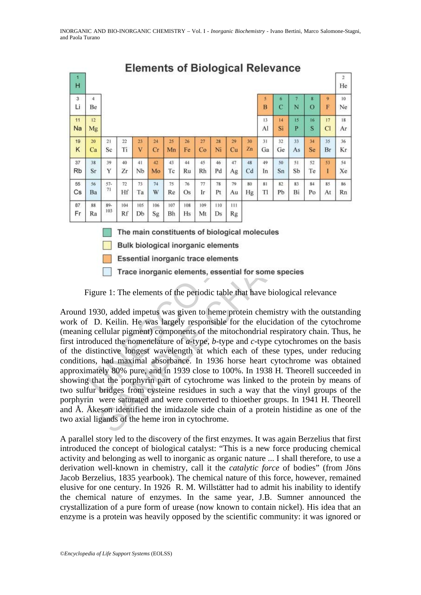

# **Elements of Biological Relevance**

Figure 1: The elements of the periodic table that have biological relevance

**EVALUATE 12** THE Ta W Re Os Tr Pt Au Hg Tl Pb Bi<br>
Ba <sup>97</sup> Hf Ta W Re Os Tr Pt Au Hg Tl Pb Bi<br>
<sup>88</sup> <sup>89</sup> <sup>104</sup> Hf Ta W Re Os Tr Pt Au Hg Tl Pb Bi<br>
<sup>88</sup> <sup>89</sup> <sup>104</sup> Hg Db Sg Bh Hs Mt Ds Rg<br> **The main constituents of biolog** The Table Cose IF Pt Au Fig TT Pb Bi Po At Rn<br>
18 TH Table Cose IF Pt Au Fig TT Pb Bi Po At Rn<br>
18 TH The main constituents of biological molecules<br>
Bulk biological inorganic elements<br>
Executial inorganic elements<br>
Trace Around 1930, added impetus was given to heme protein chemistry with the outstanding work of D. Keilin. He was largely responsible for the elucidation of the cytochrome (meaning cellular pigment) components of the mitochondrial respiratory chain. Thus, he first introduced the nomenclature of *a*-type, *b*-type and *c*-type cytochromes on the basis of the distinctive longest wavelength at which each of these types, under reducing conditions, had maximal absorbance. In 1936 horse heart cytochrome was obtained approximately 80% pure, and in 1939 close to 100%. In 1938 H. Theorell succeeded in showing that the porphyrin part of cytochrome was linked to the protein by means of two sulfur bridges from cysteine residues in such a way that the vinyl groups of the porphyrin were saturated and were converted to thioether groups. In 1941 H. Theorell and Å. Åkeson identified the imidazole side chain of a protein histidine as one of the two axial ligands of the heme iron in cytochrome.

A parallel story led to the discovery of the first enzymes. It was again Berzelius that first introduced the concept of biological catalyst: "This is a new force producing chemical activity and belonging as well to inorganic as organic nature ... I shall therefore, to use a derivation well-known in chemistry, call it the *catalytic force* of bodies" (from Jöns Jacob Berzelius, 1835 yearbook). The chemical nature of this force, however, remained elusive for one century. In 1926 R. M. Willstätter had to admit his inability to identify the chemical nature of enzymes. In the same year, J.B. Sumner announced the crystallization of a pure form of urease (now known to contain nickel). His idea that an enzyme is a protein was heavily opposed by the scientific community: it was ignored or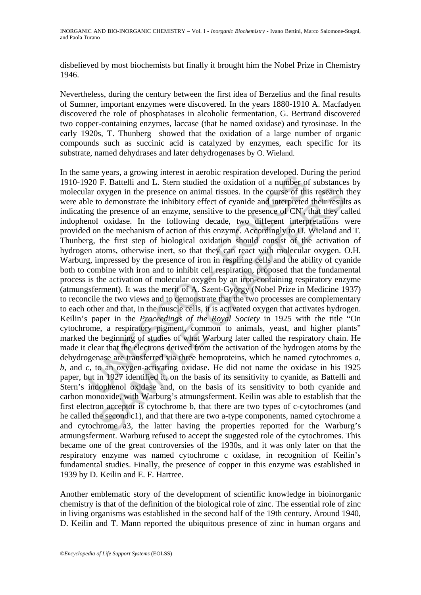disbelieved by most biochemists but finally it brought him the Nobel Prize in Chemistry 1946.

Nevertheless, during the century between the first idea of Berzelius and the final results of Sumner, important enzymes were discovered. In the years 1880-1910 A. Macfadyen discovered the role of phosphatases in alcoholic fermentation, G. Bertrand discovered two copper-containing enzymes, laccase (that he named oxidase) and tyrosinase. In the early 1920s, T. Thunberg showed that the oxidation of a large number of organic compounds such as succinic acid is catalyzed by enzymes, each specific for its substrate, named dehydrases and later dehydrogenases by O. Wieland.

alm years, a growing interest in action tests and the brandom developed. Depending the parameter and a comparison and the presence of an entire of the demonstrate the inhibitory effect of cyanide and interpreted may open a oxygen in the presence on animal tissues. In the course of this research o demonstrate the inhibitory effect of cyanide and interpreted their result of exhaptive to the presence of an enzyme, sensitive to the presence of In the same years, a growing interest in aerobic respiration developed. During the period 1910-1920 F. Battelli and L. Stern studied the oxidation of a number of substances by molecular oxygen in the presence on animal tissues. In the course of this research they were able to demonstrate the inhibitory effect of cyanide and interpreted their results as indicating the presence of an enzyme, sensitive to the presence of CN- , that they called indophenol oxidase. In the following decade, two different interpretations were provided on the mechanism of action of this enzyme. Accordingly to O. Wieland and T. Thunberg, the first step of biological oxidation should consist of the activation of hydrogen atoms, otherwise inert, so that they can react with molecular oxygen. O.H. Warburg, impressed by the presence of iron in respiring cells and the ability of cyanide both to combine with iron and to inhibit cell respiration, proposed that the fundamental process is the activation of molecular oxygen by an iron-containing respiratory enzyme (atmungsferment). It was the merit of A. Szent-György (Nobel Prize in Medicine 1937) to reconcile the two views and to demonstrate that the two processes are complementary to each other and that, in the muscle cells, it is activated oxygen that activates hydrogen. Keilin's paper in the *Proceedings of the Royal Society* in 1925 with the title "On cytochrome, a respiratory pigment, common to animals, yeast, and higher plants" marked the beginning of studies of what Warburg later called the respiratory chain. He made it clear that the electrons derived from the activation of the hydrogen atoms by the dehydrogenase are transferred via three hemoproteins, which he named cytochromes *a, b*, and *c*, to an oxygen-activating oxidase. He did not name the oxidase in his 1925 paper, but in 1927 identified it, on the basis of its sensitivity to cyanide, as Battelli and Stern's indophenol oxidase and, on the basis of its sensitivity to both cyanide and carbon monoxide, with Warburg's atmungsferment. Keilin was able to establish that the first electron acceptor is cytochrome b, that there are two types of c-cytochromes (and he called the second c1), and that there are two a-type components, named cytochrome a and cytochrome a3, the latter having the properties reported for the Warburg's atmungsferment. Warburg refused to accept the suggested role of the cytochromes. This became one of the great controversies of the 1930s, and it was only later on that the respiratory enzyme was named cytochrome c oxidase, in recognition of Keilin's fundamental studies. Finally, the presence of copper in this enzyme was established in 1939 by D. Keilin and E. F. Hartree.

Another emblematic story of the development of scientific knowledge in bioinorganic chemistry is that of the definition of the biological role of zinc. The essential role of zinc in living organisms was established in the second half of the 19th century. Around 1940, D. Keilin and T. Mann reported the ubiquitous presence of zinc in human organs and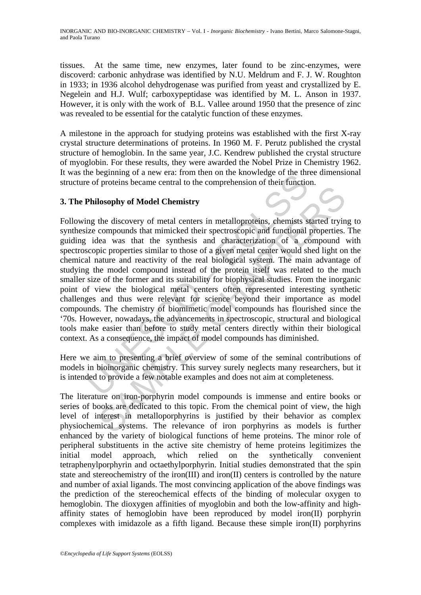tissues. At the same time, new enzymes, later found to be zinc-enzymes, were discoverd: carbonic anhydrase was identified by N.U. Meldrum and F. J. W. Roughton in 1933; in 1936 alcohol dehydrogenase was purified from yeast and crystallized by E. Negelein and H.J. Wulf; carboxypeptidase was identified by M. L. Anson in 1937. However, it is only with the work of B.L. Vallee around 1950 that the presence of zinc was revealed to be essential for the catalytic function of these enzymes.

A milestone in the approach for studying proteins was established with the first X-ray crystal structure determinations of proteins. In 1960 M. F. Perutz published the crystal structure of hemoglobin. In the same year, J.C. Kendrew published the crystal structure of myoglobin. For these results, they were awarded the Nobel Prize in Chemistry 1962. It was the beginning of a new era: from then on the knowledge of the three dimensional structure of proteins became central to the comprehension of their function.

# **3. The Philosophy of Model Chemistry**

ele beginning of a new eta. Hom then on the knowledge of the this<br>of proteins became central to the comprehension of their functio<br>**Philosophy of Model Chemistry**<br>mg the discovery of metal centers in metalloproteins, chemi Isosophy of Model Chemistry<br>the discovery of metal centers in metalloproteins, shemists started tryin<br>compounds that mimicked their spectroscopic and functional properties.<br>lea was that the synthesis and characterization o Following the discovery of metal centers in metalloproteins, chemists started trying to synthesize compounds that mimicked their spectroscopic and functional properties. The guiding idea was that the synthesis and characterization of a compound with spectroscopic properties similar to those of a given metal center would shed light on the chemical nature and reactivity of the real biological system. The main advantage of studying the model compound instead of the protein itself was related to the much smaller size of the former and its suitability for biophysical studies. From the inorganic point of view the biological metal centers often represented interesting synthetic challenges and thus were relevant for science beyond their importance as model compounds. The chemistry of biomimetic model compounds has flourished since the '70s. However, nowadays, the advancements in spectroscopic, structural and biological tools make easier than before to study metal centers directly within their biological context. As a consequence, the impact of model compounds has diminished.

Here we aim to presenting a brief overview of some of the seminal contributions of models in bioinorganic chemistry. This survey surely neglects many researchers, but it is intended to provide a few notable examples and does not aim at completeness.

The literature on iron-porphyrin model compounds is immense and entire books or series of books are dedicated to this topic. From the chemical point of view, the high level of interest in metalloporphyrins is justified by their behavior as complex physiochemical systems. The relevance of iron porphyrins as models is further enhanced by the variety of biological functions of heme proteins. The minor role of peripheral substituents in the active site chemistry of heme proteins legitimizes the initial model approach, which relied on the synthetically convenient tetraphenylporphyrin and octaethylporphyrin. Initial studies demonstrated that the spin state and stereochemistry of the iron(III) and iron(II) centers is controlled by the nature and number of axial ligands. The most convincing application of the above findings was the prediction of the stereochemical effects of the binding of molecular oxygen to hemoglobin. The dioxygen affinities of myoglobin and both the low-affinity and highaffinity states of hemoglobin have been reproduced by model iron(II) porphyrin complexes with imidazole as a fifth ligand. Because these simple iron(II) porphyrins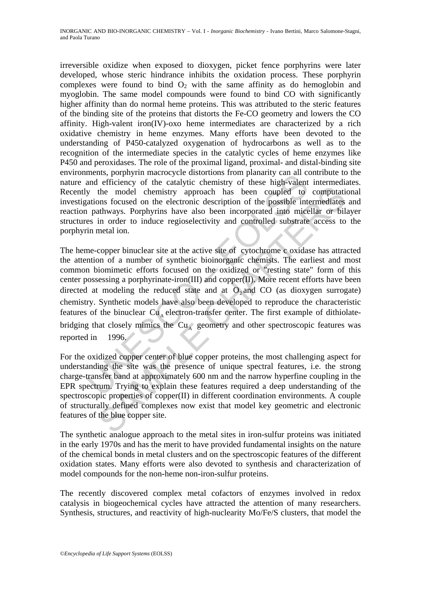irreversible oxidize when exposed to dioxygen, picket fence porphyrins were later developed, whose steric hindrance inhibits the oxidation process. These porphyrin complexes were found to bind  $O_2$  with the same affinity as do hemoglobin and myoglobin. The same model compounds were found to bind CO with significantly higher affinity than do normal heme proteins. This was attributed to the steric features of the binding site of the proteins that distorts the Fe-CO geometry and lowers the CO affinity. High-valent iron(IV)-oxo heme intermediates are characterized by a rich oxidative chemistry in heme enzymes. Many efforts have been devoted to the understanding of P450-catalyzed oxygenation of hydrocarbons as well as to the recognition of the intermediate species in the catalytic cycles of heme enzymes like P450 and peroxidases. The role of the proximal ligand, proximal- and distal-binding site environments, porphyrin macrocycle distortions from planarity can all contribute to the nature and efficiency of the catalytic chemistry of these high-valent intermediates. Recently the model chemistry approach has been coupled to computational investigations focused on the electronic description of the possible intermediates and reaction pathways. Porphyrins have also been incorporated into micellar or bilayer structures in order to induce regioselectivity and controlled substrate access to the porphyrin metal ion.

ments, porplyrimate duration to the extable to the and entired at the model of the model chemistry of these high-valent<br>and efficiency of the catalytic chemistry of these high-valent<br>ations focused on the electronic descr the model chemistry approach has been coupled to computations focused on the electronic description of the possible intermediates at the model chemistry approach has been incorporated into micellar or bild in order to ind The heme-copper binuclear site at the active site of cytochrome c oxidase has attracted the attention of a number of synthetic bioinorganic chemists. The earliest and most common biomimetic efforts focused on the oxidized or "resting state" form of this center possessing a porphyrinate-iron(III) and copper(II). More recent efforts have been directed at modeling the reduced state and at  $\overline{O}$ , and CO (as dioxygen surrogate) chemistry. Synthetic models have also been developed to reproduce the characteristic features of the binuclear  $Cu<sub>a</sub>$  electron-transfer center. The first example of dithiolatebridging that closely mimics the  $Cu<sub>A</sub>$  geometry and other spectroscopic features was reported in 1996.

For the oxidized copper center of blue copper proteins, the most challenging aspect for understanding the site was the presence of unique spectral features, i.e. the strong charge-transfer band at approximately 600 nm and the narrow hyperfine coupling in the EPR spectrum. Trying to explain these features required a deep understanding of the spectroscopic properties of copper(II) in different coordination environments. A couple of structurally defined complexes now exist that model key geometric and electronic features of the blue copper site.

The synthetic analogue approach to the metal sites in iron-sulfur proteins was initiated in the early 1970s and has the merit to have provided fundamental insights on the nature of the chemical bonds in metal clusters and on the spectroscopic features of the different oxidation states. Many efforts were also devoted to synthesis and characterization of model compounds for the non-heme non-iron-sulfur proteins.

The recently discovered complex metal cofactors of enzymes involved in redox catalysis in biogeochemical cycles have attracted the attention of many researchers. Synthesis, structures, and reactivity of high-nuclearity Mo/Fe/S clusters, that model the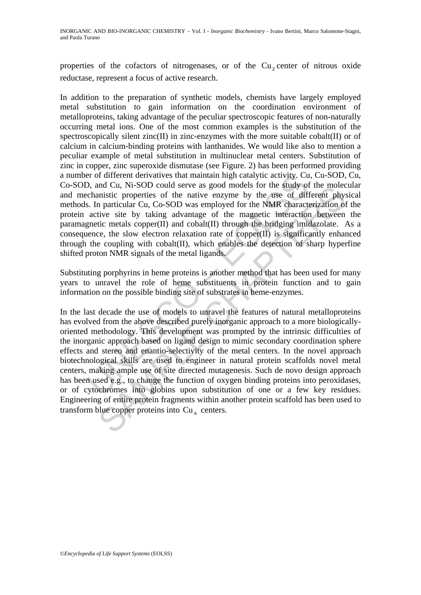properties of the cofactors of nitrogenases, or of the  $Cu<sub>z</sub>$  center of nitrous oxide reductase, represent a focus of active research.

In addition to the preparation of synthetic models, chemists have largely employed metal substitution to gain information on the coordination environment of metalloproteins, taking advantage of the peculiar spectroscopic features of non-naturally occurring metal ions. One of the most common examples is the substitution of the spectroscopically silent zinc(II) in zinc-enzymes with the more suitable cobalt(II) or of calcium in calcium-binding proteins with lanthanides. We would like also to mention a peculiar example of metal substitution in multinuclear metal centers. Substitution of zinc in copper, zinc superoxide dismutase (see Figure. 2) has been performed providing a number of different derivatives that maintain high catalytic activity. Cu, Cu-SOD, Cu, Co-SOD, and Cu, Ni-SOD could serve as good models for the study of the molecular and mechanistic properties of the native enzyme by the use of different physical methods. In particular Cu, Co-SOD was employed for the NMR characterization of the protein active site by taking advantage of the magnetic interaction between the paramagnetic metals copper(II) and cobalt(II) through the bridging imidazolate. As a consequence, the slow electron relaxation rate of copper(II) is significantly enhanced through the coupling with cobalt(II), which enables the detection of sharp hyperfine shifted proton NMR signals of the metal ligands.

Substituting porphyrins in heme proteins is another method that has been used for many years to unravel the role of heme substituents in protein function and to gain information on the possible binding site of substrates in heme-enzymes.

er of different derivatives that maintain high catalytic activity. Cu<br>
2), and Cu, Ni-SOD could serve as good models for the study of<br>
chansitic properties of the native enzyme by the use of diff<br>
a.s. In particular Cu, Co and cu, NI-SOD could serve as good modest for the sample of the finder cu, in the modest of the anity of the modest of the matter physion particular Cu, Co-SOD was employed for the NMR characterization of tive metals copp In the last decade the use of models to unravel the features of natural metalloproteins has evolved from the above described purely inorganic approach to a more biologicallyoriented methodology. This development was prompted by the intrinsic difficulties of the inorganic approach based on ligand design to mimic secondary coordination sphere effects and stereo and enantio-selectivity of the metal centers. In the novel approach biotechnological skills are used to engineer in natural protein scaffolds novel metal centers, making ample use of site directed mutagenesis. Such de novo design approach has been used e.g., to change the function of oxygen binding proteins into peroxidases, or of cytochromes into globins upon substitution of one or a few key residues. Engineering of entire protein fragments within another protein scaffold has been used to transform blue copper proteins into  $Cu<sub>A</sub>$  centers.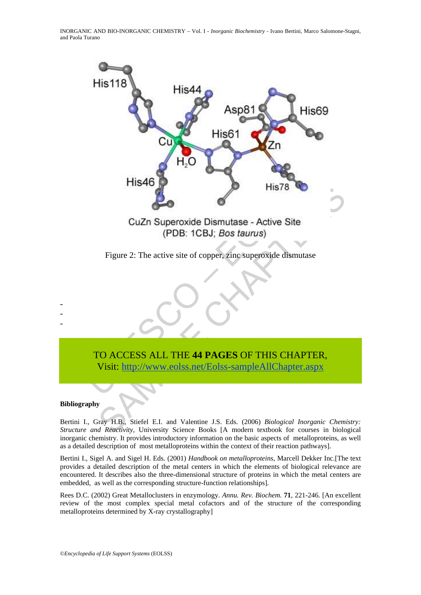

Figure 2: The active site of copper, zinc superoxide dismutase

TO ACCESS ALL THE **44 PAGES** OF THIS CHAPTER, Visit: http://www.eolss.net/Eolss-sampleAllChapter.aspx

#### **Bibliography**

- - -

Bertini I., Gray H.B., Stiefel E.I. and Valentine J.S. Eds. (2006) *Biological Inorganic Chemistry: Structure and Reactivity*, University Science Books [A modern textbook for courses in biological inorganic chemistry. It provides introductory information on the basic aspects of metalloproteins, as well as a detailed description of most metalloproteins within the context of their reaction pathways].

Bertini I., Sigel A. and Sigel H. Eds. (2001) *Handbook on metalloproteins*, Marcell Dekker Inc.[The text provides a detailed description of the metal centers in which the elements of biological relevance are encountered. It describes also the three-dimensional structure of proteins in which the metal centers are embedded, as well as the corresponding structure-function relationships].

Rees D.C. (2002) Great Metalloclusters in enzymology. *Annu. Rev. Biochem.* **71**, 221-246. [An excellent review of the most complex special metal cofactors and of the structure of the corresponding metalloproteins determined by X-ray crystallography]